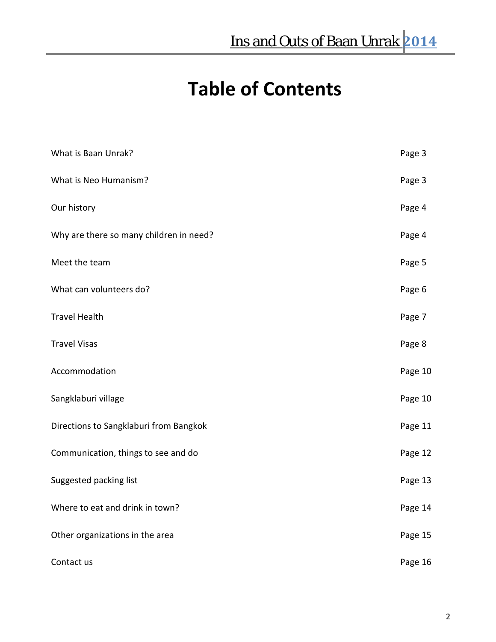# **Table of Contents**

| What is Baan Unrak?                     | Page 3  |
|-----------------------------------------|---------|
| What is Neo Humanism?                   | Page 3  |
| Our history                             | Page 4  |
| Why are there so many children in need? | Page 4  |
| Meet the team                           | Page 5  |
| What can volunteers do?                 | Page 6  |
| <b>Travel Health</b>                    | Page 7  |
| <b>Travel Visas</b>                     | Page 8  |
| Accommodation                           | Page 10 |
| Sangklaburi village                     | Page 10 |
| Directions to Sangklaburi from Bangkok  | Page 11 |
| Communication, things to see and do     | Page 12 |
| Suggested packing list                  | Page 13 |
| Where to eat and drink in town?         | Page 14 |
| Other organizations in the area         | Page 15 |
| Contact us                              | Page 16 |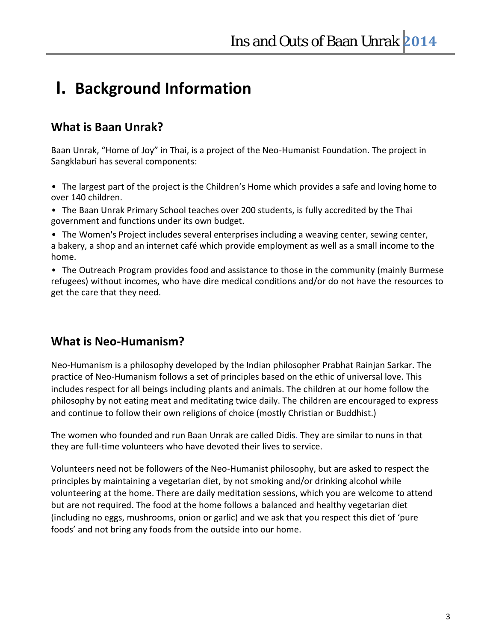## **I. Background Information**

### **What is Baan Unrak?**

Baan Unrak, "Home of Joy" in Thai, is a project of the Neo-Humanist Foundation. The project in Sangklaburi has several components:

• The largest part of the project is the Children's Home which provides a safe and loving home to over 140 children.

• The Baan Unrak Primary School teaches over 200 students, is fully accredited by the Thai government and functions under its own budget.

• The Women's Project includes several enterprises including a weaving center, sewing center, a bakery, a shop and an internet café which provide employment as well as a small income to the home.

• The Outreach Program provides food and assistance to those in the community (mainly Burmese refugees) without incomes, who have dire medical conditions and/or do not have the resources to get the care that they need.

#### **What is Neo-Humanism?**

Neo-Humanism is a philosophy developed by the Indian philosopher Prabhat Rainjan Sarkar. The practice of Neo-Humanism follows a set of principles based on the ethic of universal love. This includes respect for all beings including plants and animals. The children at our home follow the philosophy by not eating meat and meditating twice daily. The children are encouraged to express and continue to follow their own religions of choice (mostly Christian or Buddhist.)

The women who founded and run Baan Unrak are called Didis. They are similar to nuns in that they are full-time volunteers who have devoted their lives to service.

Volunteers need not be followers of the Neo-Humanist philosophy, but are asked to respect the principles by maintaining a vegetarian diet, by not smoking and/or drinking alcohol while volunteering at the home. There are daily meditation sessions, which you are welcome to attend but are not required. The food at the home follows a balanced and healthy vegetarian diet (including no eggs, mushrooms, onion or garlic) and we ask that you respect this diet of 'pure foods' and not bring any foods from the outside into our home.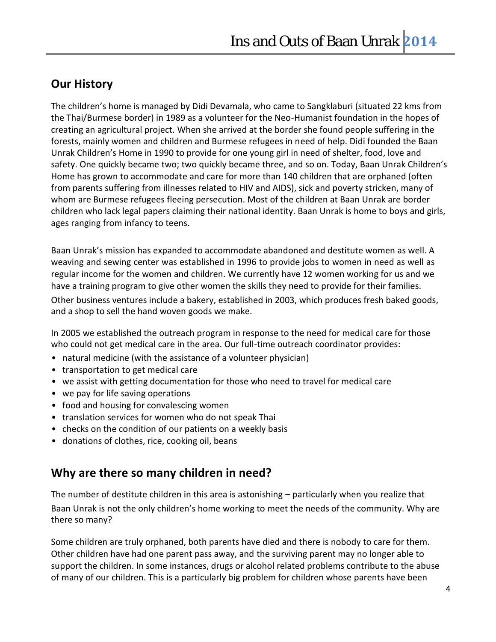### **Our History**

The children's home is managed by Didi Devamala, who came to Sangklaburi (situated 22 kms from the Thai/Burmese border) in 1989 as a volunteer for the Neo-Humanist foundation in the hopes of creating an agricultural project. When she arrived at the border she found people suffering in the forests, mainly women and children and Burmese refugees in need of help. Didi founded the Baan Unrak Children's Home in 1990 to provide for one young girl in need of shelter, food, love and safety. One quickly became two; two quickly became three, and so on. Today, Baan Unrak Children's Home has grown to accommodate and care for more than 140 children that are orphaned (often from parents suffering from illnesses related to HIV and AIDS), sick and poverty stricken, many of whom are Burmese refugees fleeing persecution. Most of the children at Baan Unrak are border children who lack legal papers claiming their national identity. Baan Unrak is home to boys and girls, ages ranging from infancy to teens.

Baan Unrak's mission has expanded to accommodate abandoned and destitute women as well. A weaving and sewing center was established in 1996 to provide jobs to women in need as well as regular income for the women and children. We currently have 12 women working for us and we have a training program to give other women the skills they need to provide for their families.

Other business ventures include a bakery, established in 2003, which produces fresh baked goods, and a shop to sell the hand woven goods we make.

In 2005 we established the outreach program in response to the need for medical care for those who could not get medical care in the area. Our full-time outreach coordinator provides:

- natural medicine (with the assistance of a volunteer physician)
- transportation to get medical care
- we assist with getting documentation for those who need to travel for medical care
- we pay for life saving operations
- food and housing for convalescing women
- translation services for women who do not speak Thai
- checks on the condition of our patients on a weekly basis
- donations of clothes, rice, cooking oil, beans

#### **Why are there so many children in need?**

The number of destitute children in this area is astonishing – particularly when you realize that Baan Unrak is not the only children's home working to meet the needs of the community. Why are there so many?

Some children are truly orphaned, both parents have died and there is nobody to care for them. Other children have had one parent pass away, and the surviving parent may no longer able to support the children. In some instances, drugs or alcohol related problems contribute to the abuse of many of our children. This is a particularly big problem for children whose parents have been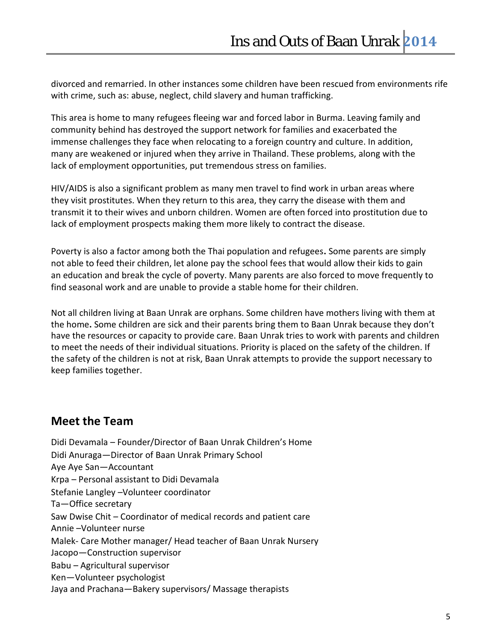divorced and remarried. In other instances some children have been rescued from environments rife with crime, such as: abuse, neglect, child slavery and human trafficking.

This area is home to many refugees fleeing war and forced labor in Burma. Leaving family and community behind has destroyed the support network for families and exacerbated the immense challenges they face when relocating to a foreign country and culture. In addition, many are weakened or injured when they arrive in Thailand. These problems, along with the lack of employment opportunities, put tremendous stress on families.

HIV/AIDS is also a significant problem as many men travel to find work in urban areas where they visit prostitutes. When they return to this area, they carry the disease with them and transmit it to their wives and unborn children. Women are often forced into prostitution due to lack of employment prospects making them more likely to contract the disease.

Poverty is also a factor among both the Thai population and refugees**.** Some parents are simply not able to feed their children, let alone pay the school fees that would allow their kids to gain an education and break the cycle of poverty. Many parents are also forced to move frequently to find seasonal work and are unable to provide a stable home for their children.

Not all children living at Baan Unrak are orphans. Some children have mothers living with them at the home**.** Some children are sick and their parents bring them to Baan Unrak because they don't have the resources or capacity to provide care. Baan Unrak tries to work with parents and children to meet the needs of their individual situations. Priority is placed on the safety of the children. If the safety of the children is not at risk, Baan Unrak attempts to provide the support necessary to keep families together.

#### **Meet the Team**

Didi Devamala – Founder/Director of Baan Unrak Children's Home Didi Anuraga—Director of Baan Unrak Primary School Aye Aye San—Accountant Krpa – Personal assistant to Didi Devamala Stefanie Langley –Volunteer coordinator Ta—Office secretary Saw Dwise Chit – Coordinator of medical records and patient care Annie –Volunteer nurse Malek- Care Mother manager/ Head teacher of Baan Unrak Nursery Jacopo—Construction supervisor Babu – Agricultural supervisor Ken—Volunteer psychologist Jaya and Prachana—Bakery supervisors/ Massage therapists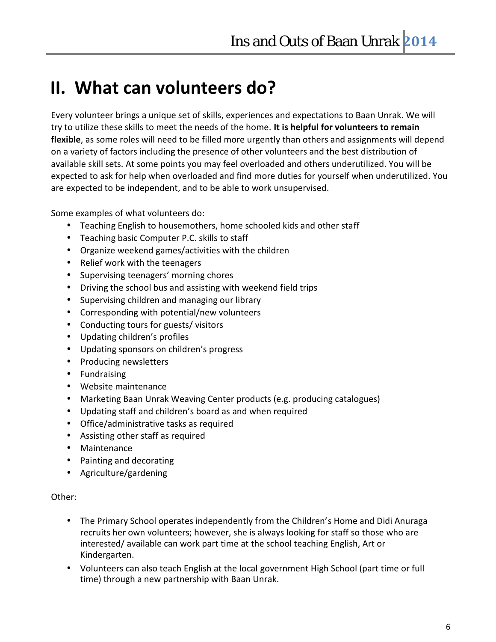## **II. What can volunteers do?**

Every volunteer brings a unique set of skills, experiences and expectations to Baan Unrak. We will try to utilize these skills to meet the needs of the home. **It is helpful for volunteers to remain flexible**, as some roles will need to be filled more urgently than others and assignments will depend on a variety of factors including the presence of other volunteers and the best distribution of available skill sets. At some points you may feel overloaded and others underutilized. You will be expected to ask for help when overloaded and find more duties for yourself when underutilized. You are expected to be independent, and to be able to work unsupervised.

Some examples of what volunteers do:

- Teaching English to housemothers, home schooled kids and other staff
- Teaching basic Computer P.C. skills to staff
- Organize weekend games/activities with the children
- Relief work with the teenagers
- Supervising teenagers' morning chores
- Driving the school bus and assisting with weekend field trips
- Supervising children and managing our library
- Corresponding with potential/new volunteers
- Conducting tours for guests/ visitors
- Updating children's profiles
- Updating sponsors on children's progress
- Producing newsletters
- Fundraising
- Website maintenance
- Marketing Baan Unrak Weaving Center products (e.g. producing catalogues)
- Updating staff and children's board as and when required
- Office/administrative tasks as required
- Assisting other staff as required
- Maintenance
- Painting and decorating
- Agriculture/gardening

#### Other:

- The Primary School operates independently from the Children's Home and Didi Anuraga recruits her own volunteers; however, she is always looking for staff so those who are interested/ available can work part time at the school teaching English, Art or Kindergarten.
- Volunteers can also teach English at the local government High School (part time or full time) through a new partnership with Baan Unrak.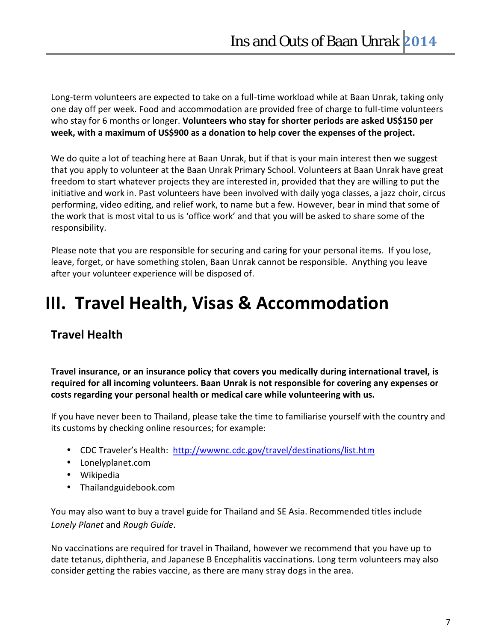Lontgerm volunteers are expecteion cowtoarkkelooand av hulle at Baan Unrak one day off per week. Food and accommodation-tainee pyrophuind teade fise who stay for 6 mont hos luon teloeming ew ho statuely for errison dos are asked US\$150 periodic periods are asked US\$15 week, with a maximum of US\$900 as a donation to help cover th

We do quite a lot of teaching here at Baan Unrak, but if that is that you apply to velBaame Unatath Primary School. Volunteers at E freedom to start whatever projects they are interested in, provid initiative and work in. Past volunteers have been inholved wouls performing, video editing, and relief work, to name but a few. H the work that is most vital to us is office work and that you wi responsibility.

Please note that you are responsible for securing and caring for leave, forget, or have something stolen, Baan Unrak cannot be r after your volunteer experience will be disposed of.

## Travel Haesa & thA, cVc bsm modation

Travel Health

Travel insurance, or an insurance policy that covers you medica required for all incoming volunteers. Baan Unrak is not respons costs regarding your personal healtch corrt eneerdining awitch area swhile v

If you have never been to Thailand, please take the time to fam its customs by checking online resources; for example:

- · CDC Traveler hsttp: e/a wtw wnc.cdc.gov/travel/ndestinations/list.ht
- · Lonelyplanet.com
- · Wikipedia
- · Thailandguidebook.com

You may also want to buy a travel guide for Thailand and SE As Lonely Palmad Rectugh Guide

No vaccinations are required for travel in Thailand, however we date tetanus, diphtheria, and Japanese B Encephalitis vaccinati consider getting the rabies vaccine, gasinthtehree aarreeamany stray do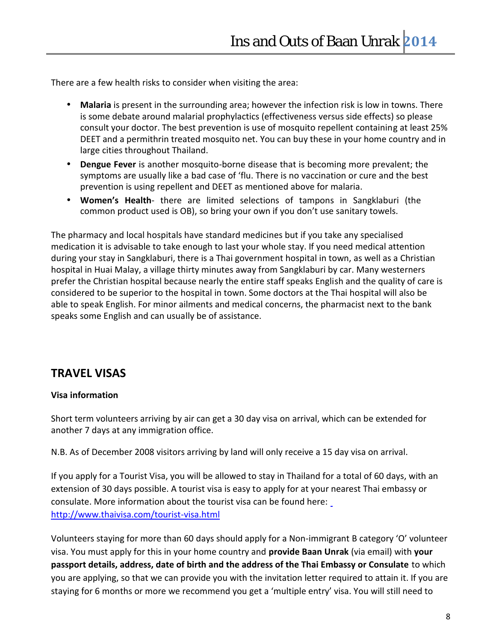There are a few health risks to consider when visiting the area:

- Malarisa present in the surrounding area; however the infection is some debate around malarial prophylactics (effectiveness consult your doctor. The best prevention is useabilenaces  $q2.5%$ DEET and a permithrin treated mosquito net. You can buy th large cities throughout Thailand.
- $\cdot$  Dengue Fise værrother mobosrqueitobisease that is becoming more pi symptoms are usbuandly alsibe of flu. There is no vaccination or prevention is using repellent and DEET as mentioned above
- · Women s Hetalethe are limited selections of tampons in S commpnoduct use,dsics  $\bigcirc$  Bring your own if you don t use sanitar

The pharmacy and local hospitals have standard medicines but i medication it is advisable to take enough to last your whole sta during yay rinst Sangklaburi, there is a Thai government hospital i hospital in Huai Malay, a village thirty minutes away from Sangl prefer the Christian hospital because neasn't yambde the eticrue a sittay fos poe considered to be superior to the hospital in town. Some doctors able to speak English. For minor ailments and medical concerns speaks some  $English$  yabe of massistance.

### TRAVEL VISAS

Visa information

Short term volunteers arriving by air can get a 30 day visa on a another 7 days at any immigration office.

N.B. As of December 2008 visitors arriving by land will only rec

If you apply for a Tourist Visa, you will be allowed to stay in Th extension of 30 days possibleo Aaptopluyrifsptrvais ay ointemassy rest Thai en consulate. More information about the tourist visa can be found http://www.thaivisa-voien./http://www.thaivisa-voien./htm rist

Volunteers staying for a moso rsehot blach a6p0p bely mimorigata. Non B category O v visa. You must apply for this inpyrouridheo Bhaean (o whi**a te**myknand poluwrith passport details, address, date of birth and the addneswhichthe you are applying, so that we can provide you with the invitation staying for 6 months or more we recommend you get a multiple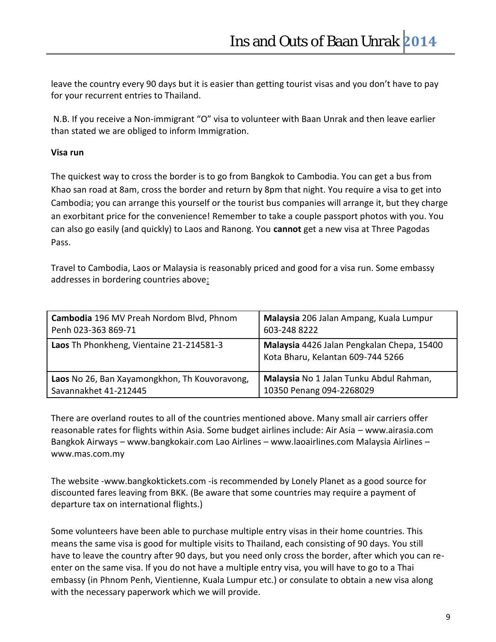leave the country every 90 days but it is easier than getting tou for your recurrent entries to Thailand.

N.B. If you reciemin weigerant out and to volunteer with Baan Unrak and then leave earliers and then leave early earliers and the N.B. than stated we are obliged to inform Immigration.

Visa run

The quickest way to cross the border is to go from Bangkok to C Khao san road at 8am, crorsestuthe boyo Boptern tahnadt night. You require Cambodia; you can arrange this yourself or the tourist bus comp an exorbitant price for the convenience! Remember to take a co can also go easily (and quickly) doon booglest annde Ranamios agat YTo huree Pa Pass.

Travel to Cambodia, Laos or Malaysia is reasonably priced and addresses in bordering countries above

| Cambod9 6 MV Preah Nordom B Malay 20 6 Jalan Ampang, Ku                      |                                 |  |
|------------------------------------------------------------------------------|---------------------------------|--|
| Penh 383 87619                                                               | 6032488222                      |  |
| LaoTsh Phonkheng, V-2dn4t5a8ine 2   Malay \$426 Jalan Pengkalan              | Kota Bharu, Ke-17a4n4ta5n266609 |  |
| Ladso 26, Ban Xayamongkhon, Malaysica 1 Jalan Tunku Abdu<br>Savannak-2462445 | 10350 Pena2n2q689249            |  |

There are overland routes to all of the countries mentioned above. reasonable rates for flights within Asia. Somewbwuwd.gaeitaasiiralineesnin Bangkok Airwwawysbangkokair.com www.wAiddaneess.com Malaysia Airlin [www.mas.c](www.mas.com.my)om.my

The webwsitter.bangkoktic-ksetrse.com mended by Lonely Planet as a go discounted fares leaving from BKK. (Be aware that some countri departure tax on ail n**t be** gimbat siden

Some volunteers have been able to purchase multiple entry visa means the same visa is good for multiple visits to Thailand, eac have to leave the country afriteed ond gy srobs uth cuborder, after wh enter on the same visa. If you do not have a multiple entry visa embassy (in Phnom Penh, Vientienne, Kuala Lumpur etc.) or con with the snærge paperwork which we will provide.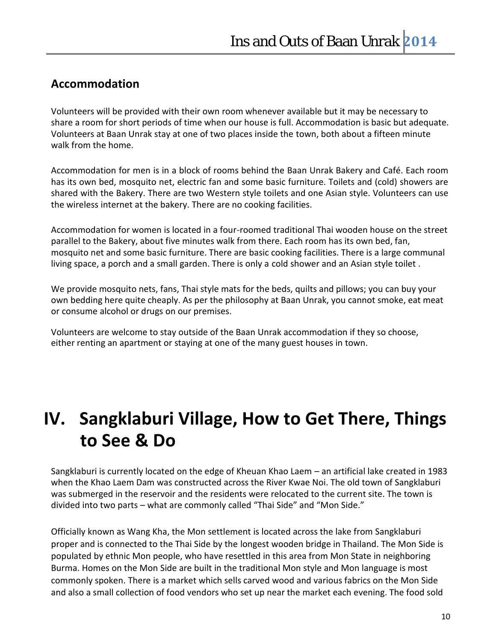#### **Accommodation**

Volunteers will be provided with their own room whenever available but it may be necessary to share a room for short periods of time when our house is full. Accommodation is basic but adequate. Volunteers at Baan Unrak stay at one of two places inside the town, both about a fifteen minute walk from the home.

Accommodation for men is in a block of rooms behind the Baan Unrak Bakery and Café. Each room has its own bed, mosquito net, electric fan and some basic furniture. Toilets and (cold) showers are shared with the Bakery. There are two Western style toilets and one Asian style. Volunteers can use the wireless internet at the bakery. There are no cooking facilities.

Accommodation for women is located in a four-roomed traditional Thai wooden house on the street parallel to the Bakery, about five minutes walk from there. Each room has its own bed, fan, mosquito net and some basic furniture. There are basic cooking facilities. There is a large communal living space, a porch and a small garden. There is only a cold shower and an Asian style toilet .

We provide mosquito nets, fans, Thai style mats for the beds, quilts and pillows; you can buy your own bedding here quite cheaply. As per the philosophy at Baan Unrak, you cannot smoke, eat meat or consume alcohol or drugs on our premises.

Volunteers are welcome to stay outside of the Baan Unrak accommodation if they so choose, either renting an apartment or staying at one of the many guest houses in town.

## **IV. Sangklaburi Village, How to Get There, Things to See & Do**

Sangklaburi is currently located on the edge of Kheuan Khao Laem – an artificial lake created in 1983 when the Khao Laem Dam was constructed across the River Kwae Noi. The old town of Sangklaburi was submerged in the reservoir and the residents were relocated to the current site. The town is divided into two parts – what are commonly called "Thai Side" and "Mon Side."

Officially known as Wang Kha, the Mon settlement is located across the lake from Sangklaburi proper and is connected to the Thai Side by the longest wooden bridge in Thailand. The Mon Side is populated by ethnic Mon people, who have resettled in this area from Mon State in neighboring Burma. Homes on the Mon Side are built in the traditional Mon style and Mon language is most commonly spoken. There is a market which sells carved wood and various fabrics on the Mon Side and also a small collection of food vendors who set up near the market each evening. The food sold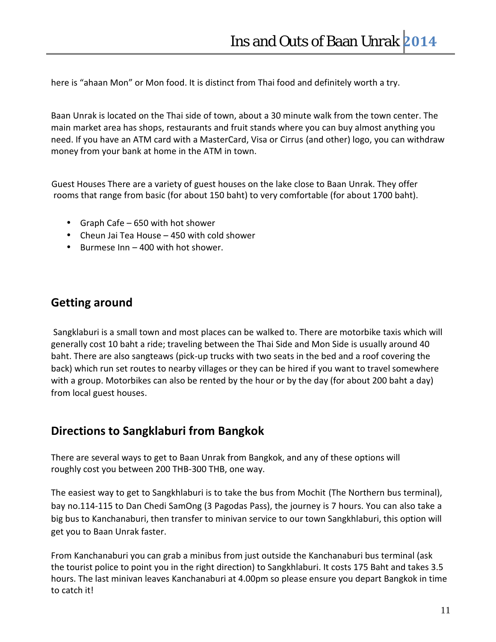here is "ahaan Mon" or Mon food. It is distinct from Thai food and definitely worth a try.

Baan Unrak is located on the Thai side of town, about a 30 minute walk from the town center. The main market area has shops, restaurants and fruit stands where you can buy almost anything you need. If you have an ATM card with a MasterCard, Visa or Cirrus (and other) logo, you can withdraw money from your bank at home in the ATM in town.

Guest Houses There are a variety of guest houses on the lake close to Baan Unrak. They offer rooms that range from basic (for about 150 baht) to very comfortable (for about 1700 baht).

- Graph Cafe 650 with hot shower
- Cheun Jai Tea House 450 with cold shower
- Burmese Inn 400 with hot shower.

#### **Getting around**

Sangklaburi is a small town and most places can be walked to. There are motorbike taxis which will generally cost 10 baht a ride; traveling between the Thai Side and Mon Side is usually around 40 baht. There are also sangteaws (pick-up trucks with two seats in the bed and a roof covering the back) which run set routes to nearby villages or they can be hired if you want to travel somewhere with a group. Motorbikes can also be rented by the hour or by the day (for about 200 baht a day) from local guest houses.

### **Directions to Sangklaburi from Bangkok**

There are several ways to get to Baan Unrak from Bangkok, and any of these options will roughly cost you between 200 THB-300 THB, one way.

The easiest way to get to Sangkhlaburi is to take the bus from Mochit (The Northern bus terminal), bay no.114-115 to Dan Chedi SamOng (3 Pagodas Pass), the journey is 7 hours. You can also take a big bus to Kanchanaburi, then transfer to minivan service to our town Sangkhlaburi, this option will get you to Baan Unrak faster.

From Kanchanaburi you can grab a minibus from just outside the Kanchanaburi bus terminal (ask the tourist police to point you in the right direction) to Sangkhlaburi. It costs 175 Baht and takes 3.5 hours. The last minivan leaves Kanchanaburi at 4.00pm so please ensure you depart Bangkok in time to catch it!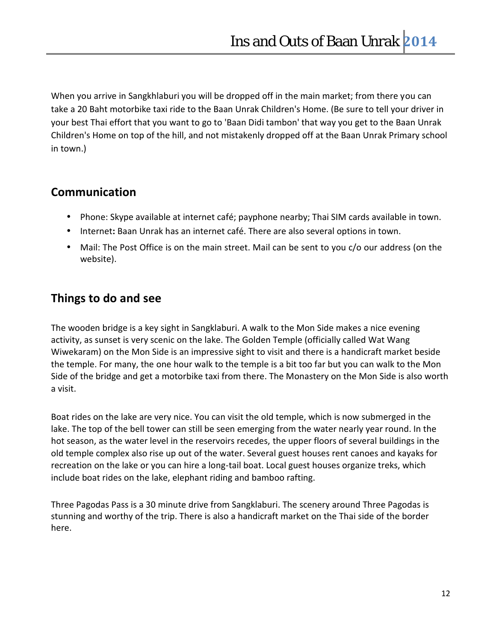When you arrive in Sangkhlaburi you will be dropped off in the main market; from there you can take a 20 Baht motorbike taxi ride to the Baan Unrak Children's Home. (Be sure to tell your driver in your best Thai effort that you want to go to 'Baan Didi tambon' that way you get to the Baan Unrak Children's Home on top of the hill, and not mistakenly dropped off at the Baan Unrak Primary school in town.)

### **Communication**

- Phone: Skype available at internet café; payphone nearby; Thai SIM cards available in town.
- Internet**:** Baan Unrak has an internet café. There are also several options in town.
- Mail: The Post Office is on the main street. Mail can be sent to you c/o our address (on the website).

### **Things to do and see**

The wooden bridge is a key sight in Sangklaburi. A walk to the Mon Side makes a nice evening activity, as sunset is very scenic on the lake. The Golden Temple (officially called Wat Wang Wiwekaram) on the Mon Side is an impressive sight to visit and there is a handicraft market beside the temple. For many, the one hour walk to the temple is a bit too far but you can walk to the Mon Side of the bridge and get a motorbike taxi from there. The Monastery on the Mon Side is also worth a visit.

Boat rides on the lake are very nice. You can visit the old temple, which is now submerged in the lake. The top of the bell tower can still be seen emerging from the water nearly year round. In the hot season, as the water level in the reservoirs recedes, the upper floors of several buildings in the old temple complex also rise up out of the water. Several guest houses rent canoes and kayaks for recreation on the lake or you can hire a long-tail boat. Local guest houses organize treks, which include boat rides on the lake, elephant riding and bamboo rafting.

Three Pagodas Pass is a 30 minute drive from Sangklaburi. The scenery around Three Pagodas is stunning and worthy of the trip. There is also a handicraft market on the Thai side of the border here.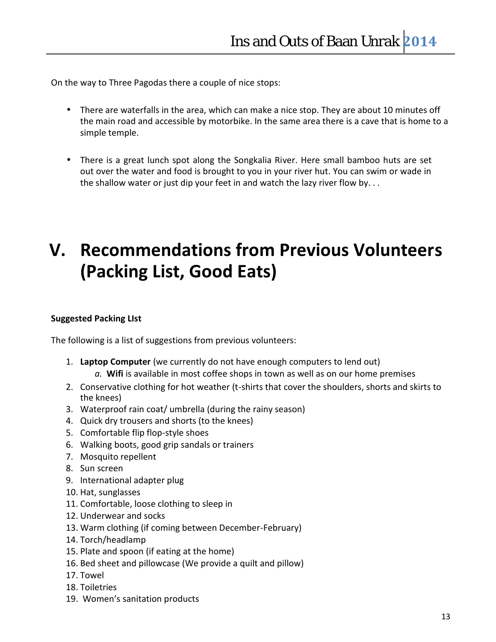On the way to Three Pagodas there a couple of nice stops:

- There are waterfalls in the area, which can make a nice stop. They are about 10 minutes off the main road and accessible by motorbike. In the same area there is a cave that is home to a simple temple.
- There is a great lunch spot along the Songkalia River. Here small bamboo huts are set out over the water and food is brought to you in your river hut. You can swim or wade in the shallow water or just dip your feet in and watch the lazy river flow by. . .

## **V. Recommendations from Previous Volunteers (Packing List, Good Eats)**

#### **Suggested Packing LIst**

The following is a list of suggestions from previous volunteers:

- 1. **Laptop Computer** (we currently do not have enough computers to lend out) *a.* **Wifi** is available in most coffee shops in town as well as on our home premises
- 2. Conservative clothing for hot weather (t-shirts that cover the shoulders, shorts and skirts to the knees)
- 3. Waterproof rain coat/ umbrella (during the rainy season)
- 4. Quick dry trousers and shorts (to the knees)
- 5. Comfortable flip flop-style shoes
- 6. Walking boots, good grip sandals or trainers
- 7. Mosquito repellent
- 8. Sun screen
- 9. International adapter plug
- 10. Hat, sunglasses
- 11. Comfortable, loose clothing to sleep in
- 12. Underwear and socks
- 13. Warm clothing (if coming between December-February)
- 14. Torch/headlamp
- 15. Plate and spoon (if eating at the home)
- 16. Bed sheet and pillowcase (We provide a quilt and pillow)
- 17. Towel
- 18. Toiletries
- 19. Women's sanitation products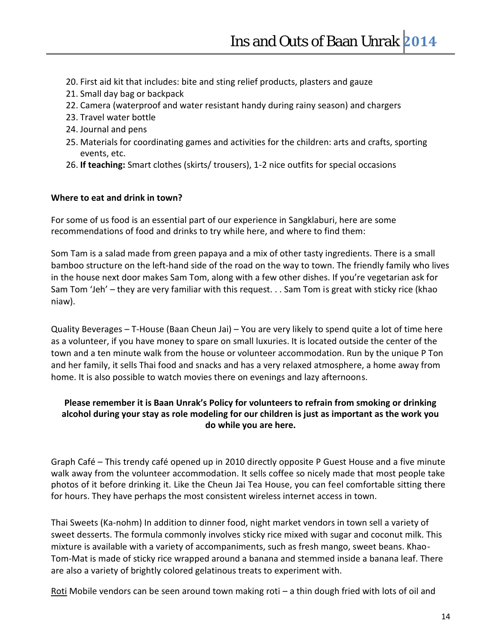- 20. First aid kit that includes: bite and sting relief products, plasters and gauze
- 21. Small day bag or backpack
- 22. Camera (waterproof and water resistant handy during rainy season) and chargers
- 23. Travel water bottle
- 24. Journal and pens
- 25. Materials for coordinating games and activities for the children: arts and crafts, sporting events, etc.
- 26. **If teaching:** Smart clothes (skirts/ trousers), 1-2 nice outfits for special occasions

#### **Where to eat and drink in town?**

For some of us food is an essential part of our experience in Sangklaburi, here are some recommendations of food and drinks to try while here, and where to find them:

Som Tam is a salad made from green papaya and a mix of other tasty ingredients. There is a small bamboo structure on the left-hand side of the road on the way to town. The friendly family who lives in the house next door makes Sam Tom, along with a few other dishes. If you're vegetarian ask for Sam Tom 'Jeh' – they are very familiar with this request. . . Sam Tom is great with sticky rice (khao niaw).

Quality Beverages – T-House (Baan Cheun Jai) – You are very likely to spend quite a lot of time here as a volunteer, if you have money to spare on small luxuries. It is located outside the center of the town and a ten minute walk from the house or volunteer accommodation. Run by the unique P Ton and her family, it sells Thai food and snacks and has a very relaxed atmosphere, a home away from home. It is also possible to watch movies there on evenings and lazy afternoons.

#### **Please remember it is Baan Unrak's Policy for volunteers to refrain from smoking or drinking alcohol during your stay as role modeling for our children is just as important as the work you do while you are here.**

Graph Café – This trendy café opened up in 2010 directly opposite P Guest House and a five minute walk away from the volunteer accommodation. It sells coffee so nicely made that most people take photos of it before drinking it. Like the Cheun Jai Tea House, you can feel comfortable sitting there for hours. They have perhaps the most consistent wireless internet access in town.

Thai Sweets (Ka-nohm) In addition to dinner food, night market vendors in town sell a variety of sweet desserts. The formula commonly involves sticky rice mixed with sugar and coconut milk. This mixture is available with a variety of accompaniments, such as fresh mango, sweet beans. Khao-Tom-Mat is made of sticky rice wrapped around a banana and stemmed inside a banana leaf. There are also a variety of brightly colored gelatinous treats to experiment with.

Roti Mobile vendors can be seen around town making roti  $-$  a thin dough fried with lots of oil and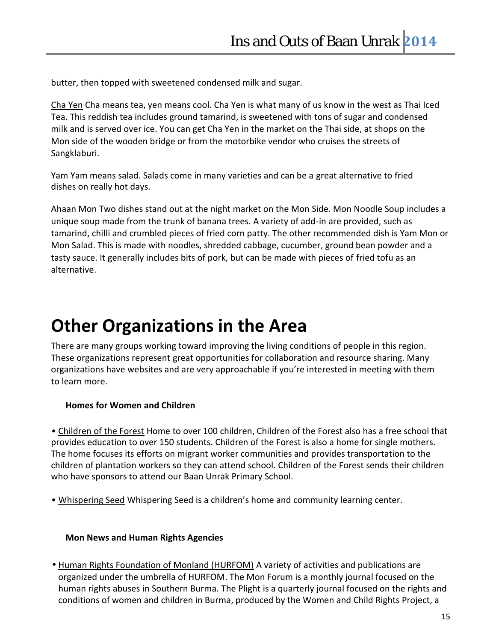butter, then topped with sweetened condensed milk and sugar.

Cha Yen Cha means tea, yen means cool. Cha Yen is what many of us know in the west as Thai Iced Tea. This reddish tea includes ground tamarind, is sweetened with tons of sugar and condensed milk and is served over ice. You can get Cha Yen in the market on the Thai side, at shops on the Mon side of the wooden bridge or from the motorbike vendor who cruises the streets of Sangklaburi.

Yam Yam means salad. Salads come in many varieties and can be a great alternative to fried dishes on really hot days.

Ahaan Mon Two dishes stand out at the night market on the Mon Side. Mon Noodle Soup includes a unique soup made from the trunk of banana trees. A variety of add-in are provided, such as tamarind, chilli and crumbled pieces of fried corn patty. The other recommended dish is Yam Mon or Mon Salad. This is made with noodles, shredded cabbage, cucumber, ground bean powder and a tasty sauce. It generally includes bits of pork, but can be made with pieces of fried tofu as an alternative.

## **Other Organizations in the Area**

There are many groups working toward improving the living conditions of people in this region. These organizations represent great opportunities for collaboration and resource sharing. Many organizations have websites and are very approachable if you're interested in meeting with them to learn more.

#### **Homes for Women and Children**

• Children of the Forest Home to over 100 children, Children of the Forest also has a free school that provides education to over 150 students. Children of the Forest is also a home for single mothers. The home focuses its efforts on migrant worker communities and provides transportation to the children of plantation workers so they can attend school. Children of the Forest sends their children who have sponsors to attend our Baan Unrak Primary School.

• Whispering Seed Whispering Seed is a children's home and community learning center.

#### **Mon News and Human Rights Agencies**

• Human Rights Foundation of Monland (HURFOM) A variety of activities and publications are organized under the umbrella of HURFOM. The Mon Forum is a monthly journal focused on the human rights abuses in Southern Burma. The Plight is a quarterly journal focused on the rights and conditions of women and children in Burma, produced by the Women and Child Rights Project, a